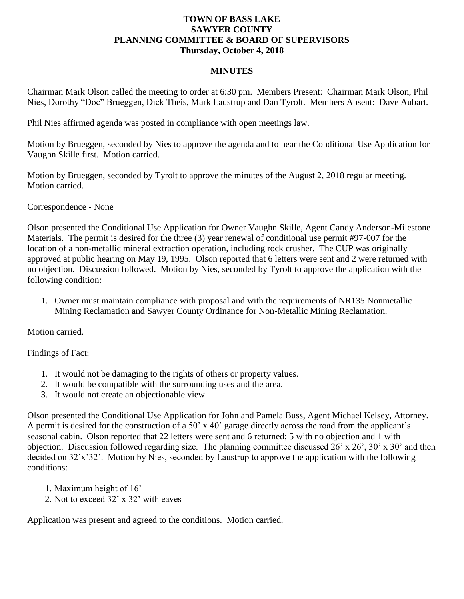## **TOWN OF BASS LAKE SAWYER COUNTY PLANNING COMMITTEE & BOARD OF SUPERVISORS Thursday, October 4, 2018**

## **MINUTES**

Chairman Mark Olson called the meeting to order at 6:30 pm. Members Present: Chairman Mark Olson, Phil Nies, Dorothy "Doc" Brueggen, Dick Theis, Mark Laustrup and Dan Tyrolt. Members Absent: Dave Aubart.

Phil Nies affirmed agenda was posted in compliance with open meetings law.

Motion by Brueggen, seconded by Nies to approve the agenda and to hear the Conditional Use Application for Vaughn Skille first. Motion carried.

Motion by Brueggen, seconded by Tyrolt to approve the minutes of the August 2, 2018 regular meeting. Motion carried.

Correspondence - None

Olson presented the Conditional Use Application for Owner Vaughn Skille, Agent Candy Anderson-Milestone Materials. The permit is desired for the three (3) year renewal of conditional use permit #97-007 for the location of a non-metallic mineral extraction operation, including rock crusher. The CUP was originally approved at public hearing on May 19, 1995. Olson reported that 6 letters were sent and 2 were returned with no objection. Discussion followed. Motion by Nies, seconded by Tyrolt to approve the application with the following condition:

1. Owner must maintain compliance with proposal and with the requirements of NR135 Nonmetallic Mining Reclamation and Sawyer County Ordinance for Non-Metallic Mining Reclamation.

Motion carried.

Findings of Fact:

- 1. It would not be damaging to the rights of others or property values.
- 2. It would be compatible with the surrounding uses and the area.
- 3. It would not create an objectionable view.

Olson presented the Conditional Use Application for John and Pamela Buss, Agent Michael Kelsey, Attorney. A permit is desired for the construction of a 50' x 40' garage directly across the road from the applicant's seasonal cabin. Olson reported that 22 letters were sent and 6 returned; 5 with no objection and 1 with objection. Discussion followed regarding size. The planning committee discussed 26' x 26', 30' x 30' and then decided on 32'x'32'. Motion by Nies, seconded by Laustrup to approve the application with the following conditions:

- 1. Maximum height of 16'
- 2. Not to exceed 32' x 32' with eaves

Application was present and agreed to the conditions. Motion carried.